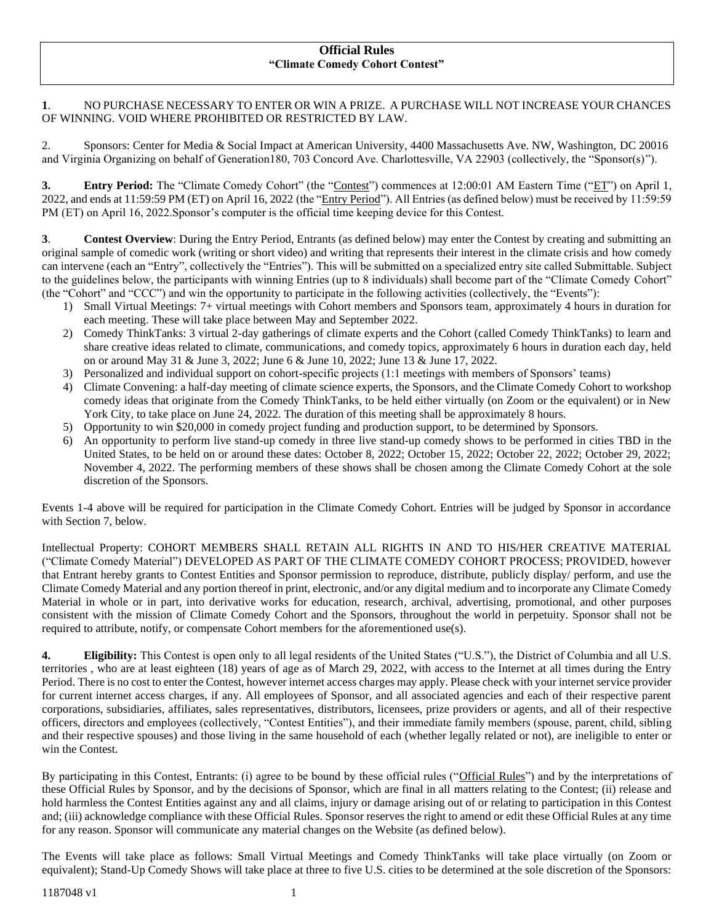#### **Official Rules "Climate Comedy Cohort Contest"**

# **1**. NO PURCHASE NECESSARY TO ENTER OR WIN A PRIZE. A PURCHASE WILL NOT INCREASE YOUR CHANCES OF WINNING. VOID WHERE PROHIBITED OR RESTRICTED BY LAW.

2. Sponsors: Center for Media & Social Impact at American University, 4400 Massachusetts Ave. NW, Washington, DC 20016 and Virginia Organizing on behalf of Generation180, 703 Concord Ave. Charlottesville, VA 22903 (collectively, the "Sponsor(s)").

**3. Entry Period:** The "Climate Comedy Cohort" (the "Contest") commences at 12:00:01 AM Eastern Time ("ET") on April 1, 2022, and ends at 11:59:59 PM (ET) on April 16, 2022 (the "Entry Period"). All Entries (as defined below) must be received by 11:59:59 PM (ET) on April 16, 2022.Sponsor's computer is the official time keeping device for this Contest.

**3**. **Contest Overview**: During the Entry Period, Entrants (as defined below) may enter the Contest by creating and submitting an original sample of comedic work (writing or short video) and writing that represents their interest in the climate crisis and how comedy can intervene (each an "Entry", collectively the "Entries"). This will be submitted on a specialized entry site called Submittable. Subject to the guidelines below, the participants with winning Entries (up to 8 individuals) shall become part of the "Climate Comedy Cohort" (the "Cohort" and "CCC") and win the opportunity to participate in the following activities (collectively, the "Events"):

- 1) Small Virtual Meetings: 7+ virtual meetings with Cohort members and Sponsors team, approximately 4 hours in duration for each meeting. These will take place between May and September 2022.
- 2) Comedy ThinkTanks: 3 virtual 2-day gatherings of climate experts and the Cohort (called Comedy ThinkTanks) to learn and share creative ideas related to climate, communications, and comedy topics, approximately 6 hours in duration each day, held on or around May 31 & June 3, 2022; June 6 & June 10, 2022; June 13 & June 17, 2022.
- 3) Personalized and individual support on cohort-specific projects (1:1 meetings with members of Sponsors' teams)
- 4) Climate Convening: a half-day meeting of climate science experts, the Sponsors, and the Climate Comedy Cohort to workshop comedy ideas that originate from the Comedy ThinkTanks, to be held either virtually (on Zoom or the equivalent) or in New York City, to take place on June 24, 2022. The duration of this meeting shall be approximately 8 hours.
- 5) Opportunity to win \$20,000 in comedy project funding and production support, to be determined by Sponsors.
- 6) An opportunity to perform live stand-up comedy in three live stand-up comedy shows to be performed in cities TBD in the United States, to be held on or around these dates: October 8, 2022; October 15, 2022; October 22, 2022; October 29, 2022; November 4, 2022. The performing members of these shows shall be chosen among the Climate Comedy Cohort at the sole discretion of the Sponsors.

Events 1-4 above will be required for participation in the Climate Comedy Cohort. Entries will be judged by Sponsor in accordance with Section 7, below.

Intellectual Property: COHORT MEMBERS SHALL RETAIN ALL RIGHTS IN AND TO HIS/HER CREATIVE MATERIAL ("Climate Comedy Material") DEVELOPED AS PART OF THE CLIMATE COMEDY COHORT PROCESS; PROVIDED, however that Entrant hereby grants to Contest Entities and Sponsor permission to reproduce, distribute, publicly display/ perform, and use the Climate Comedy Material and any portion thereof in print, electronic, and/or any digital medium and to incorporate any Climate Comedy Material in whole or in part, into derivative works for education, research, archival, advertising, promotional, and other purposes consistent with the mission of Climate Comedy Cohort and the Sponsors, throughout the world in perpetuity. Sponsor shall not be required to attribute, notify, or compensate Cohort members for the aforementioned use(s).

**4. Eligibility:** This Contest is open only to all legal residents of the United States ("U.S."), the District of Columbia and all U.S. territories , who are at least eighteen (18) years of age as of March 29, 2022, with access to the Internet at all times during the Entry Period. There is no cost to enter the Contest, however internet access charges may apply. Please check with your internet service provider for current internet access charges, if any. All employees of Sponsor, and all associated agencies and each of their respective parent corporations, subsidiaries, affiliates, sales representatives, distributors, licensees, prize providers or agents, and all of their respective officers, directors and employees (collectively, "Contest Entities"), and their immediate family members (spouse, parent, child, sibling and their respective spouses) and those living in the same household of each (whether legally related or not), are ineligible to enter or win the Contest.

By participating in this Contest, Entrants: (i) agree to be bound by these official rules ("Official Rules") and by the interpretations of these Official Rules by Sponsor, and by the decisions of Sponsor, which are final in all matters relating to the Contest; (ii) release and hold harmless the Contest Entities against any and all claims, injury or damage arising out of or relating to participation in this Contest and; (iii) acknowledge compliance with these Official Rules. Sponsor reserves the right to amend or edit these Official Rules at any time for any reason. Sponsor will communicate any material changes on the Website (as defined below).

The Events will take place as follows: Small Virtual Meetings and Comedy ThinkTanks will take place virtually (on Zoom or equivalent); Stand-Up Comedy Shows will take place at three to five U.S. cities to be determined at the sole discretion of the Sponsors: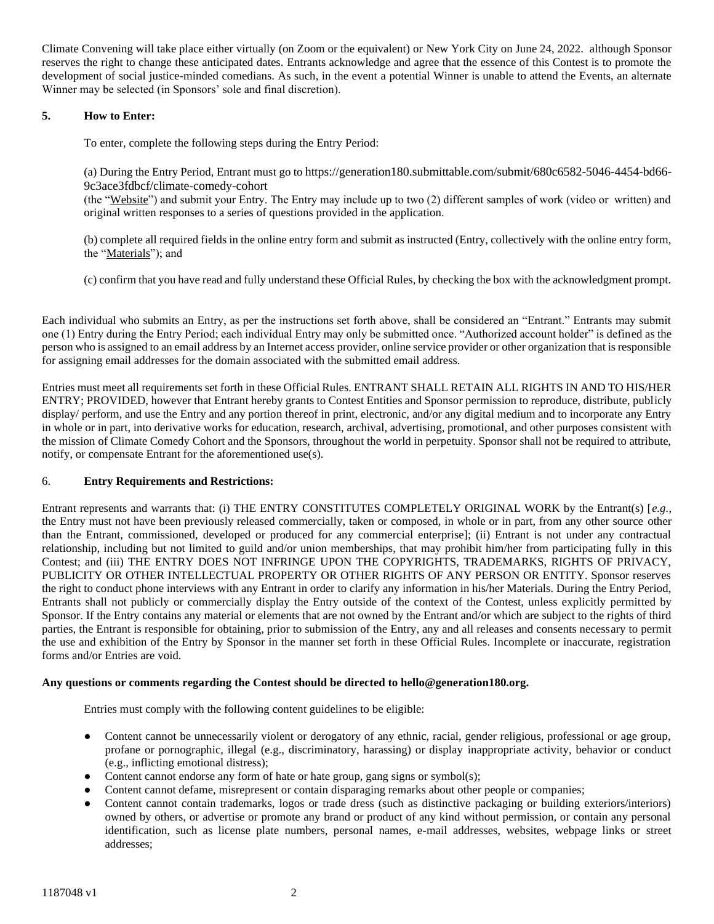Climate Convening will take place either virtually (on Zoom or the equivalent) or New York City on June 24, 2022. although Sponsor reserves the right to change these anticipated dates. Entrants acknowledge and agree that the essence of this Contest is to promote the development of social justice-minded comedians. As such, in the event a potential Winner is unable to attend the Events, an alternate Winner may be selected (in Sponsors' sole and final discretion).

# **5. How to Enter:**

To enter, complete the following steps during the Entry Period:

(a) During the Entry Period, Entrant must go to [https://generation180.submittable.com/submit/680c6582-5046-4454-bd66-](https://generation180.submittable.com/submit/680c6582-5046-4454-bd66-9c3ace3fdbcf/climate-comedy-cohort) [9c3ace3fdbcf/climate-comedy-cohort](https://generation180.submittable.com/submit/680c6582-5046-4454-bd66-9c3ace3fdbcf/climate-comedy-cohort)

(the "Website") and submit your Entry. The Entry may include up to two (2) different samples of work (video or written) and original written responses to a series of questions provided in the application.

(b) complete all required fields in the online entry form and submit as instructed (Entry, collectively with the online entry form, the "Materials"); and

(c) confirm that you have read and fully understand these Official Rules, by checking the box with the acknowledgment prompt.

Each individual who submits an Entry, as per the instructions set forth above, shall be considered an "Entrant." Entrants may submit one (1) Entry during the Entry Period; each individual Entry may only be submitted once. "Authorized account holder" is defined as the person who is assigned to an email address by an Internet access provider, online service provider or other organization that is responsible for assigning email addresses for the domain associated with the submitted email address.

Entries must meet all requirements set forth in these Official Rules. ENTRANT SHALL RETAIN ALL RIGHTS IN AND TO HIS/HER ENTRY; PROVIDED, however that Entrant hereby grants to Contest Entities and Sponsor permission to reproduce, distribute, publicly display/ perform, and use the Entry and any portion thereof in print, electronic, and/or any digital medium and to incorporate any Entry in whole or in part, into derivative works for education, research, archival, advertising, promotional, and other purposes consistent with the mission of Climate Comedy Cohort and the Sponsors, throughout the world in perpetuity. Sponsor shall not be required to attribute, notify, or compensate Entrant for the aforementioned use(s).

### 6. **Entry Requirements and Restrictions:**

Entrant represents and warrants that: (i) THE ENTRY CONSTITUTES COMPLETELY ORIGINAL WORK by the Entrant(s) [*e.g.*, the Entry must not have been previously released commercially, taken or composed, in whole or in part, from any other source other than the Entrant, commissioned, developed or produced for any commercial enterprise]; (ii) Entrant is not under any contractual relationship, including but not limited to guild and/or union memberships, that may prohibit him/her from participating fully in this Contest; and (iii) THE ENTRY DOES NOT INFRINGE UPON THE COPYRIGHTS, TRADEMARKS, RIGHTS OF PRIVACY, PUBLICITY OR OTHER INTELLECTUAL PROPERTY OR OTHER RIGHTS OF ANY PERSON OR ENTITY. Sponsor reserves the right to conduct phone interviews with any Entrant in order to clarify any information in his/her Materials. During the Entry Period, Entrants shall not publicly or commercially display the Entry outside of the context of the Contest, unless explicitly permitted by Sponsor. If the Entry contains any material or elements that are not owned by the Entrant and/or which are subject to the rights of third parties, the Entrant is responsible for obtaining, prior to submission of the Entry, any and all releases and consents necessary to permit the use and exhibition of the Entry by Sponsor in the manner set forth in these Official Rules. Incomplete or inaccurate, registration forms and/or Entries are void.

### **Any questions or comments regarding the Contest should be directed to hello@generation180.org.**

Entries must comply with the following content guidelines to be eligible:

- Content cannot be unnecessarily violent or derogatory of any ethnic, racial, gender religious, professional or age group, profane or pornographic, illegal (e.g., discriminatory, harassing) or display inappropriate activity, behavior or conduct (e.g., inflicting emotional distress);
- Content cannot endorse any form of hate or hate group, gang signs or symbol(s);
- Content cannot defame, misrepresent or contain disparaging remarks about other people or companies;
- Content cannot contain trademarks, logos or trade dress (such as distinctive packaging or building exteriors/interiors) owned by others, or advertise or promote any brand or product of any kind without permission, or contain any personal identification, such as license plate numbers, personal names, e-mail addresses, websites, webpage links or street addresses;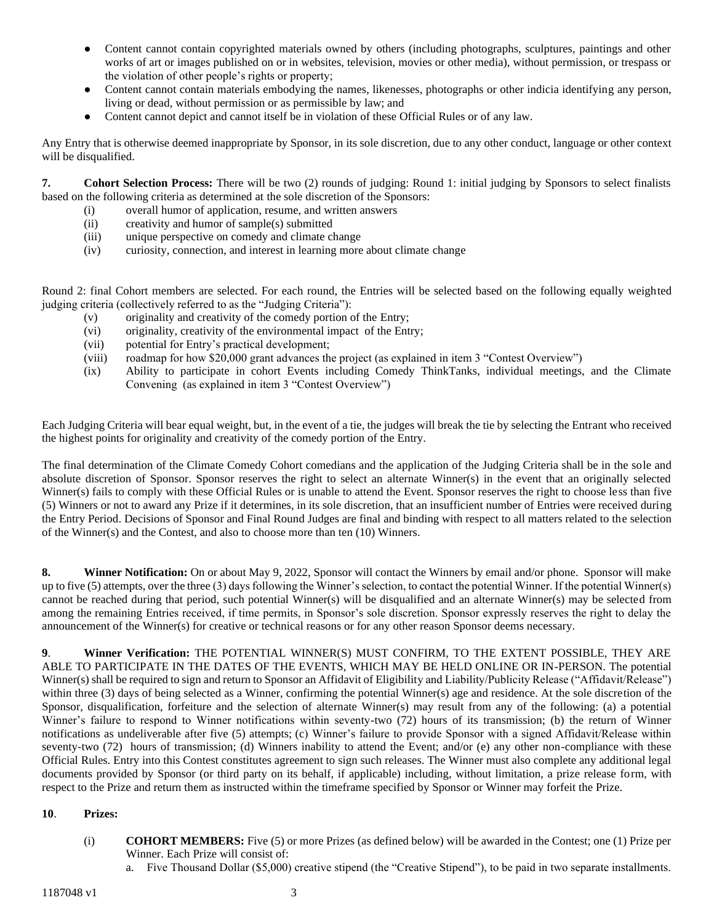- Content cannot contain copyrighted materials owned by others (including photographs, sculptures, paintings and other works of art or images published on or in websites, television, movies or other media), without permission, or trespass or the violation of other people's rights or property;
- Content cannot contain materials embodying the names, likenesses, photographs or other indicia identifying any person, living or dead, without permission or as permissible by law; and
- Content cannot depict and cannot itself be in violation of these Official Rules or of any law.

Any Entry that is otherwise deemed inappropriate by Sponsor, in its sole discretion, due to any other conduct, language or other context will be disqualified.

**7. Cohort Selection Process:** There will be two (2) rounds of judging: Round 1: initial judging by Sponsors to select finalists based on the following criteria as determined at the sole discretion of the Sponsors:

- (i) overall humor of application, resume, and written answers
- (ii) creativity and humor of sample(s) submitted
- (iii) unique perspective on comedy and climate change
- (iv) curiosity, connection, and interest in learning more about climate change

Round 2: final Cohort members are selected. For each round, the Entries will be selected based on the following equally weighted judging criteria (collectively referred to as the "Judging Criteria"):

- (v) originality and creativity of the comedy portion of the Entry;
- (vi) originality, creativity of the environmental impact of the Entry;
- (vii) potential for Entry's practical development;
- (viii) roadmap for how \$20,000 grant advances the project (as explained in item 3 "Contest Overview")
- (ix) Ability to participate in cohort Events including Comedy ThinkTanks, individual meetings, and the Climate Convening (as explained in item 3 "Contest Overview")

Each Judging Criteria will bear equal weight, but, in the event of a tie, the judges will break the tie by selecting the Entrant who received the highest points for originality and creativity of the comedy portion of the Entry.

The final determination of the Climate Comedy Cohort comedians and the application of the Judging Criteria shall be in the sole and absolute discretion of Sponsor. Sponsor reserves the right to select an alternate Winner(s) in the event that an originally selected Winner(s) fails to comply with these Official Rules or is unable to attend the Event. Sponsor reserves the right to choose less than five (5) Winners or not to award any Prize if it determines, in its sole discretion, that an insufficient number of Entries were received during the Entry Period. Decisions of Sponsor and Final Round Judges are final and binding with respect to all matters related to the selection of the Winner(s) and the Contest, and also to choose more than ten (10) Winners.

**8.** Winner Notification: On or about May 9, 2022, Sponsor will contact the Winners by email and/or phone. Sponsor will make up to five (5) attempts, over the three (3) days following the Winner's selection, to contact the potential Winner. If the potential Winner(s) cannot be reached during that period, such potential Winner(s) will be disqualified and an alternate Winner(s) may be selected from among the remaining Entries received, if time permits, in Sponsor's sole discretion. Sponsor expressly reserves the right to delay the announcement of the Winner(s) for creative or technical reasons or for any other reason Sponsor deems necessary.

**9**. **Winner Verification:** THE POTENTIAL WINNER(S) MUST CONFIRM, TO THE EXTENT POSSIBLE, THEY ARE ABLE TO PARTICIPATE IN THE DATES OF THE EVENTS, WHICH MAY BE HELD ONLINE OR IN-PERSON. The potential Winner(s) shall be required to sign and return to Sponsor an Affidavit of Eligibility and Liability/Publicity Release ("Affidavit/Release") within three (3) days of being selected as a Winner, confirming the potential Winner(s) age and residence. At the sole discretion of the Sponsor, disqualification, forfeiture and the selection of alternate Winner(s) may result from any of the following: (a) a potential Winner's failure to respond to Winner notifications within seventy-two (72) hours of its transmission; (b) the return of Winner notifications as undeliverable after five (5) attempts; (c) Winner's failure to provide Sponsor with a signed Affidavit/Release within seventy-two (72) hours of transmission; (d) Winners inability to attend the Event; and/or (e) any other non-compliance with these Official Rules. Entry into this Contest constitutes agreement to sign such releases. The Winner must also complete any additional legal documents provided by Sponsor (or third party on its behalf, if applicable) including, without limitation, a prize release form, with respect to the Prize and return them as instructed within the timeframe specified by Sponsor or Winner may forfeit the Prize.

### **10**. **Prizes:**

- (i) **COHORT MEMBERS:** Five (5) or more Prizes (as defined below) will be awarded in the Contest; one (1) Prize per Winner. Each Prize will consist of:
	- a. Five Thousand Dollar (\$5,000) creative stipend (the "Creative Stipend"), to be paid in two separate installments.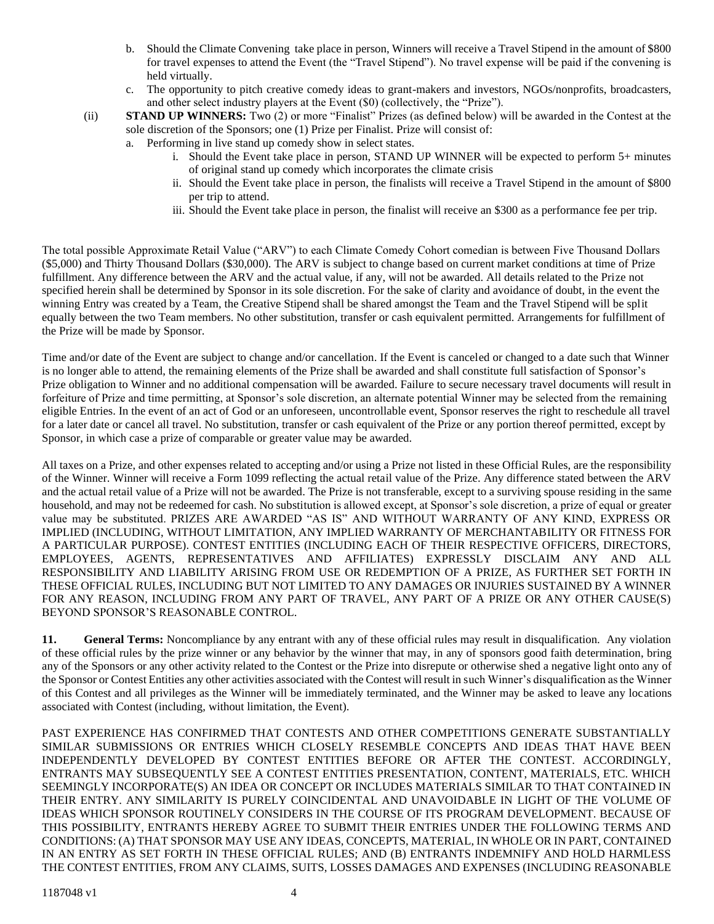- b. Should the Climate Convening take place in person, Winners will receive a Travel Stipend in the amount of \$800 for travel expenses to attend the Event (the "Travel Stipend"). No travel expense will be paid if the convening is held virtually.
- c. The opportunity to pitch creative comedy ideas to grant-makers and investors, NGOs/nonprofits, broadcasters, and other select industry players at the Event (\$0) (collectively, the "Prize").
- (ii) **STAND UP WINNERS:** Two (2) or more "Finalist" Prizes (as defined below) will be awarded in the Contest at the sole discretion of the Sponsors; one (1) Prize per Finalist. Prize will consist of:
	- a. Performing in live stand up comedy show in select states.
		- i. Should the Event take place in person, STAND UP WINNER will be expected to perform 5+ minutes of original stand up comedy which incorporates the climate crisis
		- ii. Should the Event take place in person, the finalists will receive a Travel Stipend in the amount of \$800 per trip to attend.
		- iii. Should the Event take place in person, the finalist will receive an \$300 as a performance fee per trip.

The total possible Approximate Retail Value ("ARV") to each Climate Comedy Cohort comedian is between Five Thousand Dollars (\$5,000) and Thirty Thousand Dollars (\$30,000). The ARV is subject to change based on current market conditions at time of Prize fulfillment. Any difference between the ARV and the actual value, if any, will not be awarded. All details related to the Prize not specified herein shall be determined by Sponsor in its sole discretion. For the sake of clarity and avoidance of doubt, in the event the winning Entry was created by a Team, the Creative Stipend shall be shared amongst the Team and the Travel Stipend will be split equally between the two Team members. No other substitution, transfer or cash equivalent permitted. Arrangements for fulfillment of the Prize will be made by Sponsor.

Time and/or date of the Event are subject to change and/or cancellation. If the Event is canceled or changed to a date such that Winner is no longer able to attend, the remaining elements of the Prize shall be awarded and shall constitute full satisfaction of Sponsor's Prize obligation to Winner and no additional compensation will be awarded. Failure to secure necessary travel documents will result in forfeiture of Prize and time permitting, at Sponsor's sole discretion, an alternate potential Winner may be selected from the remaining eligible Entries. In the event of an act of God or an unforeseen, uncontrollable event, Sponsor reserves the right to reschedule all travel for a later date or cancel all travel. No substitution, transfer or cash equivalent of the Prize or any portion thereof permitted, except by Sponsor, in which case a prize of comparable or greater value may be awarded.

All taxes on a Prize, and other expenses related to accepting and/or using a Prize not listed in these Official Rules, are the responsibility of the Winner. Winner will receive a Form 1099 reflecting the actual retail value of the Prize. Any difference stated between the ARV and the actual retail value of a Prize will not be awarded. The Prize is not transferable, except to a surviving spouse residing in the same household, and may not be redeemed for cash. No substitution is allowed except, at Sponsor's sole discretion, a prize of equal or greater value may be substituted. PRIZES ARE AWARDED "AS IS" AND WITHOUT WARRANTY OF ANY KIND, EXPRESS OR IMPLIED (INCLUDING, WITHOUT LIMITATION, ANY IMPLIED WARRANTY OF MERCHANTABILITY OR FITNESS FOR A PARTICULAR PURPOSE). CONTEST ENTITIES (INCLUDING EACH OF THEIR RESPECTIVE OFFICERS, DIRECTORS, EMPLOYEES, AGENTS, REPRESENTATIVES AND AFFILIATES) EXPRESSLY DISCLAIM ANY AND ALL RESPONSIBILITY AND LIABILITY ARISING FROM USE OR REDEMPTION OF A PRIZE, AS FURTHER SET FORTH IN THESE OFFICIAL RULES, INCLUDING BUT NOT LIMITED TO ANY DAMAGES OR INJURIES SUSTAINED BY A WINNER FOR ANY REASON, INCLUDING FROM ANY PART OF TRAVEL, ANY PART OF A PRIZE OR ANY OTHER CAUSE(S) BEYOND SPONSOR'S REASONABLE CONTROL.

**11. General Terms:** Noncompliance by any entrant with any of these official rules may result in disqualification. Any violation of these official rules by the prize winner or any behavior by the winner that may, in any of sponsors good faith determination, bring any of the Sponsors or any other activity related to the Contest or the Prize into disrepute or otherwise shed a negative light onto any of the Sponsor or Contest Entities any other activities associated with the Contest will result in such Winner's disqualification as the Winner of this Contest and all privileges as the Winner will be immediately terminated, and the Winner may be asked to leave any locations associated with Contest (including, without limitation, the Event).

PAST EXPERIENCE HAS CONFIRMED THAT CONTESTS AND OTHER COMPETITIONS GENERATE SUBSTANTIALLY SIMILAR SUBMISSIONS OR ENTRIES WHICH CLOSELY RESEMBLE CONCEPTS AND IDEAS THAT HAVE BEEN INDEPENDENTLY DEVELOPED BY CONTEST ENTITIES BEFORE OR AFTER THE CONTEST. ACCORDINGLY, ENTRANTS MAY SUBSEQUENTLY SEE A CONTEST ENTITIES PRESENTATION, CONTENT, MATERIALS, ETC. WHICH SEEMINGLY INCORPORATE(S) AN IDEA OR CONCEPT OR INCLUDES MATERIALS SIMILAR TO THAT CONTAINED IN THEIR ENTRY. ANY SIMILARITY IS PURELY COINCIDENTAL AND UNAVOIDABLE IN LIGHT OF THE VOLUME OF IDEAS WHICH SPONSOR ROUTINELY CONSIDERS IN THE COURSE OF ITS PROGRAM DEVELOPMENT. BECAUSE OF THIS POSSIBILITY, ENTRANTS HEREBY AGREE TO SUBMIT THEIR ENTRIES UNDER THE FOLLOWING TERMS AND CONDITIONS: (A) THAT SPONSOR MAY USE ANY IDEAS, CONCEPTS, MATERIAL, IN WHOLE OR IN PART, CONTAINED IN AN ENTRY AS SET FORTH IN THESE OFFICIAL RULES; AND (B) ENTRANTS INDEMNIFY AND HOLD HARMLESS THE CONTEST ENTITIES, FROM ANY CLAIMS, SUITS, LOSSES DAMAGES AND EXPENSES (INCLUDING REASONABLE